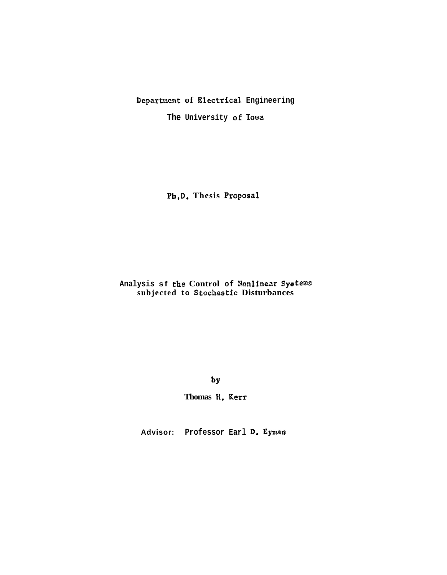# Department of Electrical Engineering

The University of Iowa

Ph.D. Thesis Proposal

Analysis sf the Control of Nonlinear Systems<br>subjected to Stochastic Disturbances

 $by$ 

Thomas H. Kerr

Advisor: Professor Earl D. Eyman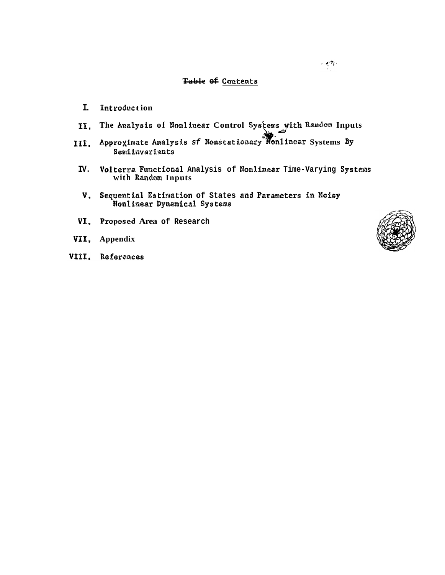#### Table of Contents

- I. Introduction
- The Analysis of Nonlinear Control Systems with Random Inputs 11.
- Approximate Analysis sf Nonstationary Monlinear Systems By III. Semiinvariants
- IV. Volterra Functional Analysis of Nonlinear Time-Varying Systems with Random Inputs
- V. Sequential Estimation of States and Parameters in Noisy Nonlinear Dynamical Systems
- VI. Proposed Area of Research
- VII, Appendix
- VIII. References

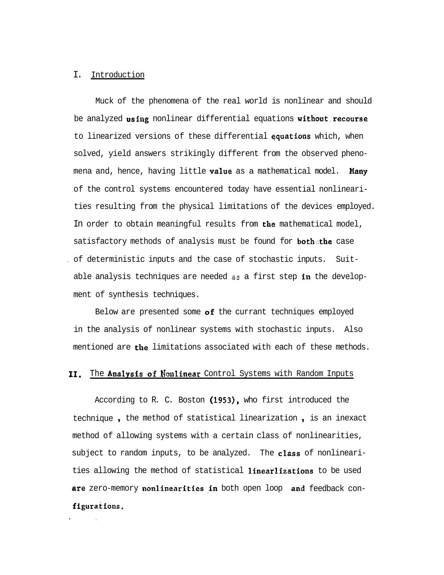### I. Introduction

Muck of the phenomena of the real world is nonlinear and should be analyzed using nonlinear differential equations without recourse to linearized versions of these differential equations which, when solved, yield answers strikingly different from the observed phenomena and, hence, having little value as a mathematical model. Many of the control systems encountered today have essential nonlinearities resulting from the physical limitations of the devices employed. In order to obtain meaningful results from the mathematical model, satisfactory methods of analysis must be found for **both**.the case . of deterministic inputs and the case of stochastic inputs. Suitable analysis techniques are needed **as** a first step in the development of synthesis techniques.

Below are presented some  $of$  the currant techniques employed in the analysis of nonlinear systems with stochastic inputs. Also mentioned are the limitations associated with each of these methods.

# **11.** The Analysis of Nonlinear Control Systems with Random Inputs

According to R. C. Boston (1953), who first introduced the technique , the method of statistical linearization , is an inexact method of allowing systems with a certain class of nonlinearities, subject to random inputs, to be analyzed. The class of nonlinearities allowing the method of statistical linearlizations to be used are zero-memory nonlinearities in both open loop and feedback configurations.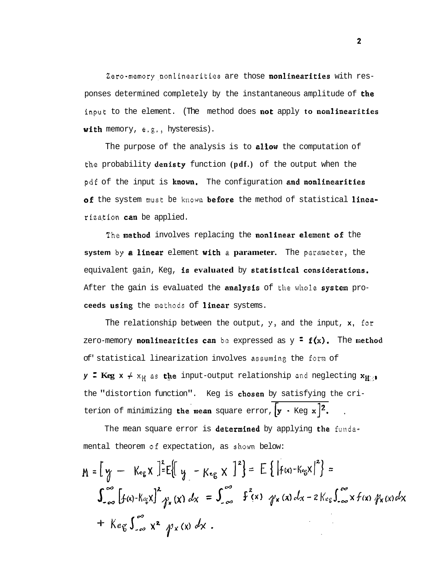**Zero-memory,nonlinearitiea** are those nonlinearities with responses determined completely by the instantaneous amplitude of the **input** to the element. (The method does mot apply **to** nonlinearities witk memory, **e.g.,** hysteresis).

The purpose of the analysis is to allow the computation of **tihe** probability denisty function **(pdf.)** of the output when the pdf of the input is known. The configuration and nonlinearities of the system must be known before the method of statistical linearization **can** be applied.

The method involves replacing the nonlinear element of the  $s$ ystem by a linear element with a parameter. The parameter, the equivalent gain, Keg, is evaluated by statistical considerations. After the gain is evaluated the analysis of **the whole** system pro**ceeds** usfag the **methods** of linear systems.

The relationship between the output,  $y$ , and the input,  $x$ , for zero-memory **nonlinearities can** be expressed as  $y = f(x)$ . The method of' statistical linearization involves **assuming** the **fsm** of **y**: **Keg**  $x \neq x_H$  **as the input-output relationship and neglecting**  $x_{H^{(i)}}$ the "distortion function". Keg is chosen by satisfying the criterion of minimizing the mean square error,  $[y - \text{Keg } x]^2$ .

The mean square error is determined by applying the **funda**mental theorem **of** expectation, as **shorn** below:

$$
M = \left[ y - K_{eg} x \right]^2 = E \left\{ \left| f(x) - K_{eg} x \right|^2 \right\} =
$$
\n
$$
\int_{-\infty}^{\infty} \left[ f(x) - K_{eg} x \right]^2 \gamma_x(x) dx = \int_{-\infty}^{\infty} f^2(x) \gamma_x(x) dx - 2K_{eg} \int_{-\infty}^{\infty} x f(x) \gamma_x(x) dx
$$
\n
$$
+ K_{eg} \int_{-\infty}^{\infty} x^2 \gamma_x(x) dx.
$$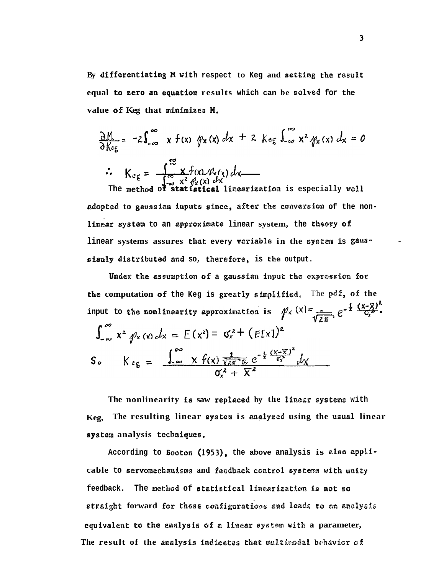By differentiating M with respect to Keg and setting the result equal to zero an equation results which can be solved for the value of Keg that minimizes M.

$$
\frac{\partial M}{\partial K_{eg}} = -2\int_{-\infty}^{\infty} x f(x) \, \psi_{x}(x) \, dx + 2 \, K_{eg} \int_{-\infty}^{\infty} x^{2} \, \psi_{x}(x) \, dx = 0
$$
\n
$$
\therefore \quad K_{eg} = \frac{\int_{-\infty}^{\infty} x f(x) \, \psi_{x}(x) \, dx}{\int_{-\infty}^{\infty} x^{2} \, \psi_{x}(x) \, dx}
$$
\nThe method of **statistical** linearization is especially well

adopted to gaussian inputs since, after the conversion of the nonlinear system to an approximate linear system, the theory of linear systems assures that every variable in the system is gaussianly distributed and so, therefore, is the output.

Under the assumption of a gaussian input the expression for the computation of the Keg is greatly simplified. The pdf, of the input to the nonlinearity approximation is  $\sqrt{\chi(x)} = \frac{1}{\sqrt{2\pi}} e^{-\frac{1}{2} (\frac{(x-\bar{x})^2}{C_x^2})}$ .  $\int_{-\infty}^{\infty} x^2 \rho_x(x) dx = E(x^2) = \sigma_x^2 + (E[x])^2$ S.  $K e_g = \frac{\int_{-\infty}^{\infty} x f(x) \frac{1}{\sqrt{2\pi} \sqrt{\alpha}} e^{-\frac{1}{2} (\frac{(x-\overline{x})^2}{\alpha x^2})} dx}{\alpha^2 + \overline{V}^2}$ 

The nonlinearity is saw replaced by the linear systems with The resulting linear system is analyzed using the usual linear Keg. system analysis techniques.

According to Booton (1953), the above analysis is also applicable to servomechanisms and feedback control systems with unity feedback. The method of statistical linearization is not so straight forward for these configurations and leads to an analysis equivalent to the analysis of a linear system with a parameter, The result of the analysis indicates that multimodal behavior of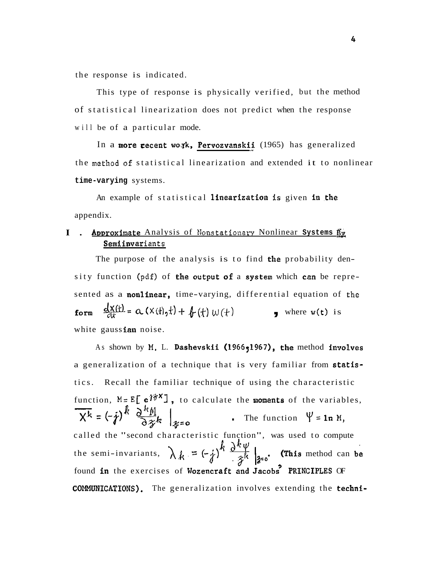the response is indicated.

This type of response is physically verified, but the method of statistical linearization does not predict when the response will be of a particular mode.

In a more recent work, Pervozvanskii (1965) has generalized the **method of** statistical linearization and extended it to nonlinear **time-varying** systems.

An example of statistical linearization is given in the appendix.

# - > **I.** Approximate Analysis of **Monstatiaaa~r** Nonlinear **Systems** &g Semiinvar **iants**

The purpose of the analysis is to find the probability density function (pdf) of the output of a system which can be represented as a nonlinear, time-varying, differential equation of **the**  form  $\frac{dX(t)}{dt} = \alpha (X(t), t) + \int_C (t) w(t)$  where  $w(t)$  is white gaussian noise.

As shown by M. L. Dashevskii (1966,1967), the method involves a generalization of a technique that is very familiar from statistics. Recall the familiar technique of using the characteristic function,  $M = E[\mathbf{e}^{\hat{\mathbf{i}} \hat{\mathbf{z}} \times \mathbf{I}}]$ , to calculate the **moments** of the variables, a generalization of a technique that is very familiar from **stat**<br>tics. Recall the familiar technique of using the characteristi<br>function,  $M = E\left[\mathbf{e}^{j\frac{2\pi}{3}}\right]$ , to calculate the **nonents** of the variabl<br> $\mathbf{X}^k = ($ called the "second characteristic function", was used to compute the semi-invariants,  $\lambda_k = (-j)^k \frac{\partial^k \psi}{\partial x^k} \Big|_{x=0}$ . (This method can be found in the exercises of Wozencraft and Jacobs<sup>2</sup> PRINCIPLES OF **cOMMUNICATIONS).** The generalization involves extending the techni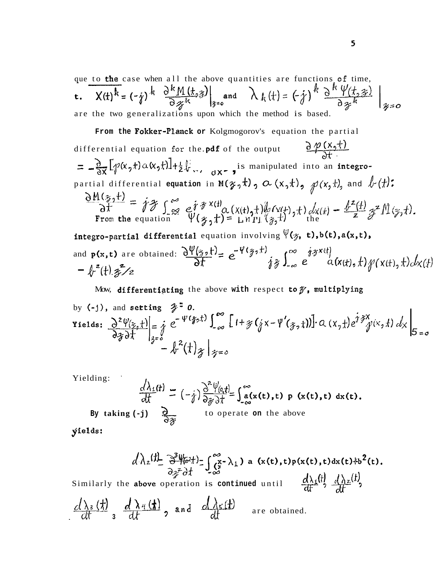que to the case when all the above quantities are functions of time,  $X(t)^k = (-j)^k \left. \frac{\partial^k M(t, z)}{\partial z^k} \right|_{z=0}$  and  $\lambda_k(t) = (-j)^k \left. \frac{\partial^k V(t, z)}{\partial z^k} \right|_{z=0}$  $t<sub>1</sub>$ are the two generalizations upon which the method is based.

From the Fokker-Planck or Kolgmogorov's equation the partial

 $\frac{\partial \varphi(x,t)}{\partial t}$ differential equation for the pdf of the output  $=\frac{\partial}{\partial x}[\gamma(x_2t)\alpha(x_2t)]+\frac{1}{2}\psi_{xx_1}$  is manipulated into an integropartial differential equation in  $M(\gamma, t)$ ,  $\alpha(x, t)$ ,  $\beta(x, t)$ , and  $\ell(t)$ :  $\frac{\partial M(z,t)}{\partial t} = j \mathcal{F} \int_{\infty}^{\infty} e^{j \mathcal{F} \times (t)} \alpha(x(t),t) \psi(x(t),t) dx(t) - \frac{\psi^{2}(t)}{z} \mathcal{F}^{2} M(z,t).$ <br>From the equation  $\Psi(z_{j},t) = L_{\text{H}} \eta_{\text{H}} (\mathcal{G},t)$ integro-partial differential equation involving  $\Psi(\gamma, t)$ , b(t), a(x,t),

and  $p(x,t)$  are obtained:  $\frac{\partial \Psi(z,t)}{\partial t} = e^{-\Psi(z_0,t)}$   $\int_{-\infty}^{\infty} e^{-\frac{i}{2}z(t)} d\mathbf{x}(t) dt f(\mathbf{x}(t),t) d\mathbf{x}(t)$  $-\int_{r}^{z}(t) z^{2}/z$ 

Mow, differentiating the above with respect to  $\mathcal{Y}_1$ , multiplying

by (-j), and setting 
$$
\mathcal{F} = 0
$$
.  
\nYields: 
$$
\frac{\partial^2 \psi(z, t)}{\partial z \partial t} \Big|_{z=0} = \int_{0}^{1} e^{-\psi(\frac{x}{2}, t)} \int_{-\infty}^{\infty} \left[1 + \frac{x}{2} (\frac{x}{2} - \psi'(\frac{x}{2}, t)) \right] \cdot Q(x, t) e^{i \frac{x}{2}} \psi(x, t) dx \Big|_{0 = 0} = 0
$$

Yielding:

$$
\frac{d\lambda_1(t)}{dt} = (-\frac{1}{t})\frac{\partial^2 \psi_{(0,t)}}{\partial \frac{1}{t}} = \int_{-\infty}^{\infty} a(x(t),t) p(x(t),t) dx(t)
$$
  
By taking (-j)

yields:

$$
\frac{d\lambda_z(t)}{\partial z^z} \frac{\partial^3 \psi_{\sigma^2}(t)}{\partial z^z} = \int_{-\infty}^{\infty} \frac{x}{\sigma^2} \lambda_1 \, ds \, (x(t),t) p(x(t),t) dx(t)^2(t)
$$

Similarly the above operation is continued until  $\frac{a_{\text{A}} w_{\text{B}}}{dt}$   $\frac{a_{\text{A}} w_{\text{B}}}{dt}$ 

$$
\frac{d\lambda_3(t)}{dt} \, \frac{d\lambda_4(t)}{dt} \, , \text{ and } \frac{d\lambda_5(t)}{dt} \quad \text{are obtained.}
$$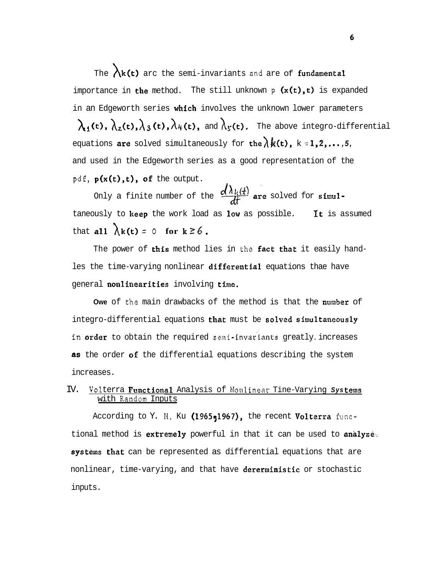The  $\lambda$ **k(t)** arc the semi-invariants and are of fundamental importance in the method. The still unknown **p** (x(t),t) is expanded in an Edgeworth series which involves the unknown lower parameters  $\lambda_1(t)$ ,  $\lambda_2(t)$ ,  $\lambda_3(t)$ ,  $\lambda_4(t)$ , and  $\lambda_5(t)$ . The above integro-differential equations are solved simultaneously for the  $\lambda k(t)$ ,  $k \le 1,2,...,5$ , and used in the Edgeworth series as a good representation of the **pdf,** p(x(t),t), of the output.

Only a finite number of the  $\frac{d\lambda_k(t)}{dt}$  are solved for simul-<br>busly to keep the work load as low as possible. It is assumed taneously to keep the work load as low as possible. that **all**  $\lambda$ **k(t)** = 0 **for**  $k \ge 6$ .

The power of this method lies in **the** fact that it easily handles the time-varying nonlinear differential equations thae have general nonlinearities involving time.

**Owe** of **the** main drawbacks of the method is that the nuaber of integro-differential equations that must be solved simultaneously **in** order to obtain the required **seni- invariants** greatly . increases **as** the order of the differential equations describing the system increases.

# IV. **Volterra Functional Analysis of Nonlinear Tine-Varying Systems** with **Random** Inputs

According to Y. H. Ku (1965,1967), the recent Volterra functional method is extremely powerful in that it can be used to analyze. systems that can be represented as differential equations that are nonlinear, time-varying, and that have dererministic or stochastic inputs.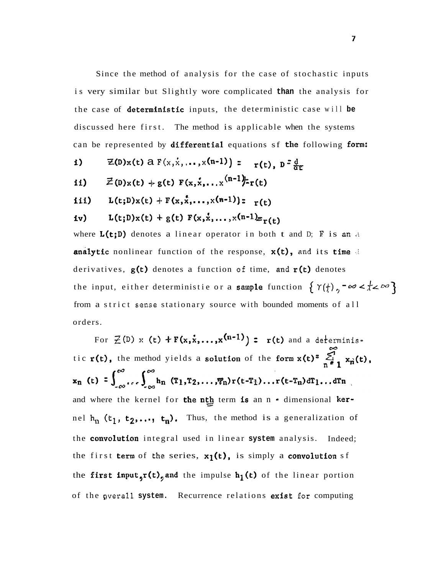Since the method of analysis for the case of stochastic inputs is very similar but Slightly wore complicated **than** the analysis for the case of deterministic inputs, the deterministic case will **be**  discussed here first. The method is applicable when the systems can be represented by differential equations sf the following form:

- **5)**  $\mathbb{Z}(\mathbb{D})\times(\mathsf{t}) \in \mathbb{F}(\mathbb{X}, \dot{\mathbb{X}}, \dots, \mathbb{X}(\mathsf{n-1})) = \mathbb{F}(\mathsf{t}), \mathbb{D}^{\mathbb{Z}} \frac{\mathsf{d}}{\mathsf{d}\mathsf{f}}$ ii)  $\vec{z}$ (D)x(t) + g(t)  $F(x,x,...,x^{(n-1)})$ -r(t) iii) L(t;D)x(t) +  $F(x, x, ..., x(n-1))$ :  $r(t)$
- iv) L(t;D)x(t) + g(t)  $F(x, x, ..., x^{(n-1)}r(t))$

where L(t;B) denotes a linear operator in both t and D; **F** is **an** ~i analytic nonlinear function of the response,  $x(t)$ , and its time derivatives, g(t) denotes a function **of** time, **and** r(t) denotes the input, either deterministie or a sample function  $\{Y(\frac{1}{2})$ ,  $-\infty < \frac{1}{2} < \infty\}$ from a strict **sense** stationary source with bounded moments of all orders.

For  $\mathcal{Z}(\mathbb{D})$  **x** (t)  $+F(x, x, \ldots, x^{(n-1)}) = r(t)$  and a deterministic r(t), the method yields a solution of the form  $x(t) = \sum_{n=1}^{\infty} x_n(t)$ ,<br> $x_n(t) = \int_{-\infty}^{\infty} \int_{-\infty}^{\infty} h_n(T_1, T_2, ..., T_n) r(t-T_1)...r(t-T_n) dT_1...dT_n$ and where the kernel for the nth term is an n - dimensional kernel  $h_n$  ( $t_1$ ,  $t_2$ ,...,  $t_n$ ). Thus, the method is a generalization of the **convolution** integral used in linear system analysis. Indeed; the first term of the series,  $x_1(t)$ , is simply a convolution sf the first input,r(t), and the impulse  $h_1(t)$  of the linear portion of the **gverall system.** Recurrence relations exist **for** computing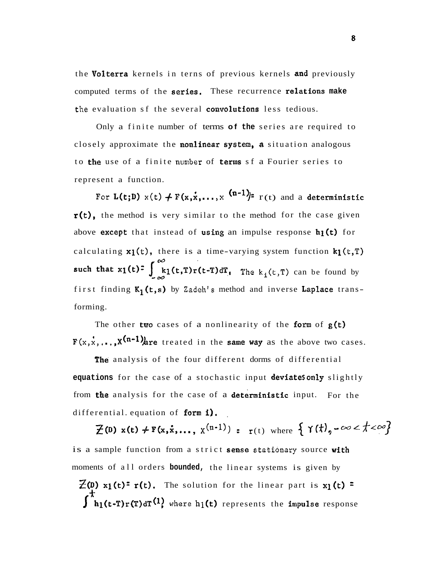the Volterra kernels in terns of previous kernels and previously computed terms of the **series.** These recurrence **relations** make the evaluation sf the several convolutions less tedious.

Only a finite number of terms **of the** series are required to closely approximate the nonlinear spsten, **A** situation analogous to the use of a finite **number** of terms sf a Fourier series to represent a function.

For  $L(t;D)$   $x(t) \neq F(x,x,...,x^{(n-1)})$ <sup>2</sup>  $r(t)$  and a deterministic r(t), the method is very similar to the method for the case given above except that instead of using an impulse response  $h_1(t)$  for calculating  $x_1(t)$ , there is a time-varying system function  $k_1(t, T)$ such that  $x_1(t) = \int_{0}^{\infty} k_1(t, T) r(t-T) dT$ , The  $k_1(t, T)$  can be found by first finding K<sub>1</sub>(t,s) by Zadeh's method and inverse Laplace transforming.

The other two cases of a nonlinearity of the form of  $g(t)$  $F(x, x, ..., x^{(n-1)})$  are treated in the same way as the above two cases.

The analysis of the four different dorms of differential **equations** for the case of a stochastic input deviatesonly slightly from the analysis for the case of a deterministic input. For the differential. equation of form  $i$ .

 $\mathcal{F}(\mathbf{D})$  **x**(t) + **F**(**x**,**x**,...,  $\mathbf{x}^{(n-1)}$ ) =  $\mathbf{r}^{(t)}$  where  $\{ \gamma(t)$ <sub>2</sub> -  $\infty < t < \infty \}$ is a sample function from a strict sense **stationary** source with moments of all orders **bounded,** the linear systems is given by  $\mathbb{Z}(p)$  x<sub>1</sub>(t)<sup>=</sup> r(t). The solution for the linear part is x<sub>1</sub>(t) =  $\int_{h_1(t-T)r(T)dT^{(1)}$  where  $h_1(t)$  represents the impulse response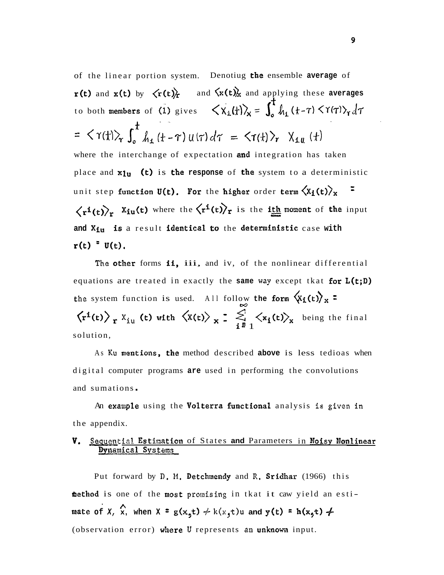of the linear portion system. Denotiug the ensemble **average** of  $r(t)$  and  $x(t)$  by  $\langle r(t) \rangle$  and  $\langle x(t) \rangle$  and applying these averages to both members of (1) gives  $\langle X_1(t) \rangle_{\mathsf{x}} = \int_a^t h_1(t-\tau) \langle \gamma(\tau) \rangle_{\mathsf{x}} d\tau$ =  $\langle \Upsilon(t) \rangle_{\tau} \int_{0}^{t} h_{1}(t-\tau) u(\tau) d\tau = \langle \Upsilon(t) \rangle_{\tau} \chi_{1} (t)$ where the interchange of expectation and integration has taken place and  $x_{1u}$  (t) is the response of the system to a deterministic unit step function  $U(t)$ . For the higher order term  ${\langle} {\tt X_i(t)} {\rangle}_{\tt X}$  $\langle r^{i}(t)\rangle_{r}$  X<sub>iu</sub>(t) where the  $\langle r^{i}(t)\rangle_{r}$  is the ith moment of the input and X<sub>iu</sub> is a result identical to the deterministic case with  $r(t)$   $\bar{v}(t)$ .

The other forms ii, iii, and iv, of the nonlinear differential equations are treated in exactly the **same way** except tkat for L(t;D) **the** system function is used. All follow **the form**  $\left\langle \mathbf{x}_i(t) \right\rangle_{\mathbf{x}}$  **=**  $\langle r^{i}(t)\rangle$  x  $X_{iu}$  (t) with  $\langle X(t)\rangle$  x =  $\sum_{i=1}^{10} \langle x_{i}(t)\rangle$  being the final  $\mathbf{i}^{\frac{1}{2}}1$ solution,

As **Ku** mentions, the method described **above** is less tedioas when digital computer programs **are** used in performing the convolutions and sumations .

An exasple using the Volterra functional analysis **is given in**  the appendix.

# **V.** Sequential Estimation of States and Parameters in Noisy Nonlinear **Dynamical Systems**

Put forward by **D. M.** Detchmendy and **8.** Sridhar (1966) this **shethod** is one of the most promising in tkat it caw yield an esti**mate of X, X, when**  $X = g(x_5t) \neq k(x_5t)u$  **and**  $y(t) = h(x_5t)$ (observation error) where U represents an unknown input.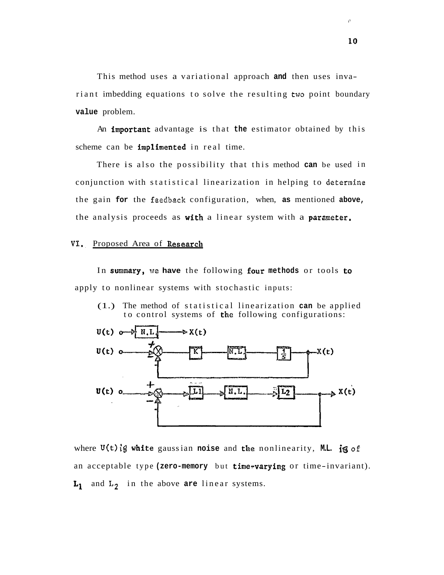This method uses a variational approach **and** then uses invariant imbedding equations to solve the resulting **two** point boundary **value** problem.

An fmportant advantage is that **the** estimator obtained by this scheme can be implimented in real time.

There is also the possibility that this method **can** be used in conjunction with statistical linearization in helping to **determine**  the gain **for** the **feedback** configuration, when, **as** mentioned **above,**  the analysis proceeds as with a linear system with a parameter.

# VI. Proposed Area of Research

In summary, **we have** the following four **methods** or tools **to**  apply to nonlinear systems with stochastic inputs:

(1.) The method of statistical linearization **can** be applied to control systems of the following configurations:



where  $U(t)$  is white gaussian noise and the nonlinearity, ML. is of an acceptable type (zero-memory but time-varying or time-invariant). **Lp** and **L2** in the above **are** linear systems.

g.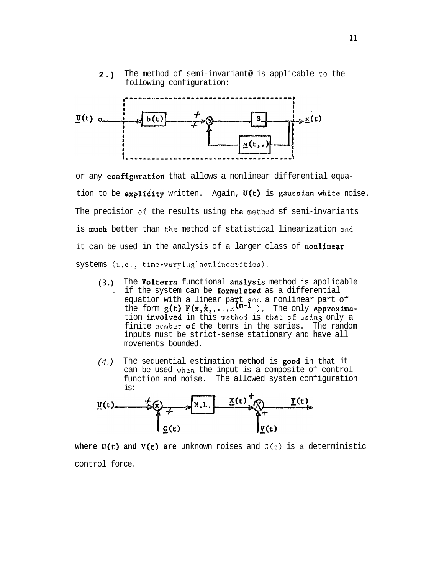**2.)** The method of semi-invariant@ is applicable **to** the following configuration:



or any configuration that allows a nonlinear differential equation to be explicity written. Again,  $U(t)$  is gaussian white noise. The precision **of** the results using the **method** sf semi-invariants is **much** better than **the** method of statistical linearization **and**  it can be used in the analysis of a larger class of nonlinear systems **(i.e., time-varying'nonllinearfties).** 

- **(3.)** The Volterra functional analysis method is applicable . if the system can be formulated as a differential equation with a linear part and a nonlinear part of the form  $g(t) F(x, x, \ldots, x^{n-1})$ . The only approximation involved in this **method** is **that of using** only a finite number of the terms in the series. The random inputs must be strict-sense stationary and have all movements bounded.
- (4.) The sequential estimation **method** is good in that it can be used **whcin** the input is a composite of control function and noise. The allowed system configuration is:



**where**  $U(t)$  **and**  $V(t)$  **are** unknown noises and  $G(t)$  is a deterministic control force.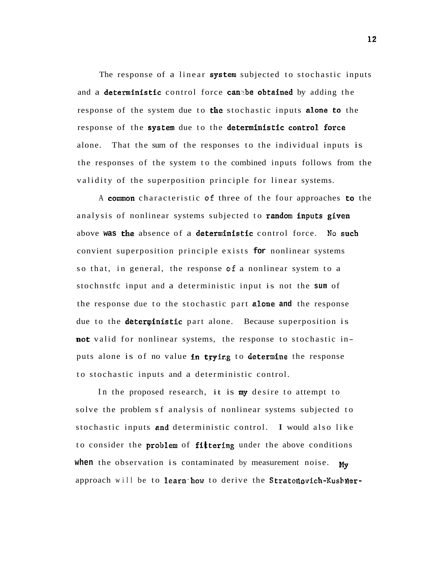The response of a linear system subjected to stochastic inputs and a deterministic control force canabe obtained by adding the response of the system due to the stochastic inputs alone to the response of the system due to the deterministic control force alone. That the sum of the responses to the individual inputs is the responses of the system to the combined inputs follows from the validity of the superposition principle for linear systems.

A comsn characteristic **of** three of the four approaches to the analysis of nonlinear systems subjected to random inputs given above **was** the absence of a deterministic control force. **No** such convient superposition principle exists **for** nonlinear systems so that, in general, the response **of** a nonlinear system to a stochnstfc input and a deterministic input is not the **sum** of the response due to the stochastic part alone **and** the response due to the deterministic part alone. Because superposition is not valid for nonlinear systems, the response to stochastic inputs alone is of no value in trying to determine the response to stochastic inputs and a deterministic control.

In the proposed research, it is **my** desire to attempt to solve the problem sf analysis of nonlinear systems subjected to stochastic inputs and deterministic control. I would also like to consider the **problem** of **fittering** under the above conditions **when** the observation is contaminated by measurement noise. **My** approach will be to learn how to derive the Straton ovich-Kushner-

 $12<sup>2</sup>$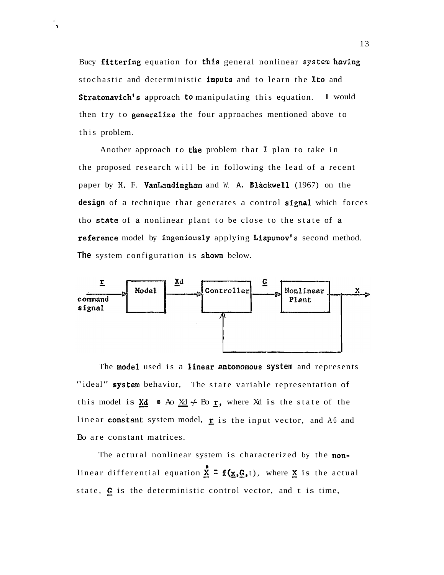Bucy ffttering equation for this general nonlinear **system** having stochastic and deterministic imputs and to learn the Ito and Stratonavich's approach to manipulating this equation. I would then try to **generalize** the four approaches mentioned above to this problem.

 $\ddot{\phantom{a}}$ 

Another approach to the problem that **1** plan to take in the proposed research will be in following the lead of a recent paper by H. F. VanLandingham and W. A. Blackwell (1967) on the design of a technique that generates a control **signal** which forces tho state of a nonlinear plant to be close to the state of a reference model by ingeniously applying Liapunov's second method. **The** system configuration is shown below.



The model used is a linear antonomous system and represents "ideal" system behavior, The state variable representation of this model is  $\frac{Xd}{A}$  = Ao  $\frac{Xd}{A}$   $\neq$  Bo  $\frac{r}{A}$ , where Xd is the state of the linear constant system model,  $\mathbf{r}$  is the input vector, and A6 and Bo are constant matrices.

The actural nonlinear system is characterized by the nonlinear differential equation  $\frac{\bar{x}}{s} = f(\underline{x}, \underline{G}, t)$ , where  $\underline{x}$  is the actual state,  $G$  is the deterministic control vector, and t is time,

13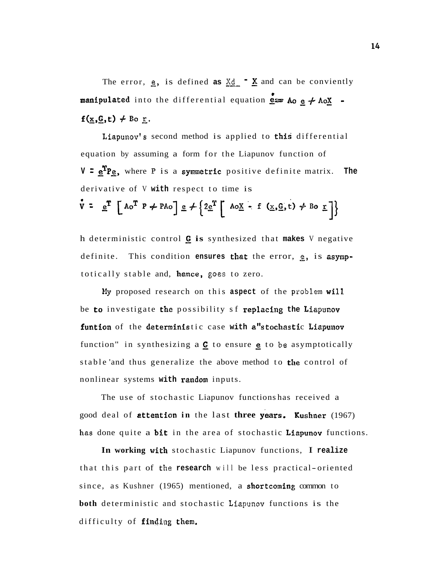The error,  $\underline{e}$ , is defined as  $\underline{X}d$  **x** and can be conviently **manipulated** into the differential equation **200 Ao** e + AoX  $f(\underline{x}, \underline{G}, t) \neq \mathbb{B}$ o <u>r</u>.

Liapunov's second method is applied to this differential equation by assuming a form for the Liapunov function of V <sup>=</sup>  $e^{T}P$ <sub>e</sub>, where *P* is a symmetric positive definite matrix. The derivative of V **with** respect to time is  $V = e^{T} [Ao^{T} P \neq PAO] e \neq {2e^{T} [Ao_{X} - f (x, G, t) \neq Ro_{T} ]}$ 

h deterministic control **is** synthesized that **makes** V negative definite. This condition **ensures** that the error, **2,** is aspptotically stable and, hence, **goes** to zero.

**B!y** proposed research on this **aspect** of the **prsblern** will be to investigate the possibility sf replacing the Liapunov funtion of the deterministic case with a"stochastic Liapunov function" in synthesizing a  $G$  to ensure  $g$  to be asymptotically stable 'and thus generalize the above method to **the** control of nonlinear systems **with** random inputs.

The use of stochastic Liapunov functions has received a good deal of attention in the last three years. Kushner (1967) has done quite a **bit** in the area of stochastic **Liapunov** functions.

**In working** with stochastic Liapunov functions, I **realize**  that this part of the **research** will be less practical- oriented since, as Kushner (1965) mentioned, a shortcoming common to **both** deterministic and stochastic **Lfzpunov** functions is the difficulty of finding them.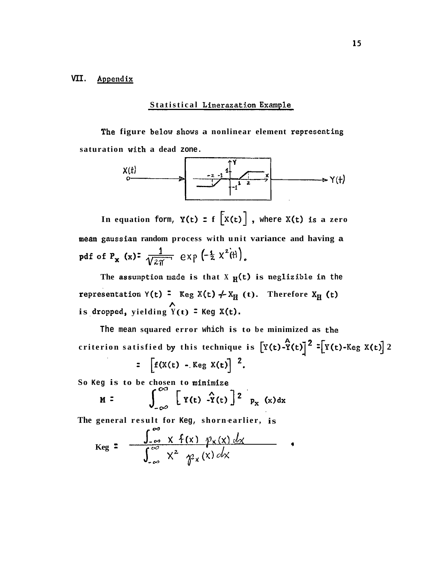### **VII. Appendix**

# **Statistical Linerezatdon Exmale**

**The figure below shows a nonlinear element representing saturation with a dead zone.** 



In equation **form, Y(t)**  $z$  **f**  $\left[x(t)\right]$ , where  $X(t)$  is a zero **mean gausstaa random process with unit variance and having a pdf** of  $P_x$  (x):  $\frac{1}{\sqrt{2\pi}}$   $e \times p \left(-\frac{1}{2} \times \frac{2}{r} \right)$ .

The assumption made is that X  $_{\text{H}}(t)$  is neglizible in the **representation**  $Y(t) = \text{Keg } X(t) \neq X_H$  **(t). Therefore**  $X_H$  **(t) i**s dropped, yielding  $\overrightarrow{Y}(t)$  = Keg X(t).

**The mean squared error which is to be minimized as the A**  The mean squared error which is to be minimized as the<br>criterion satisfied by this technique is  $[\overline{Y}(t)-\overline{Y}(t)]^2 = [\overline{Y}(t)-Keg X(t)]^2$ 

$$
= \left[ f(X(t) - \text{Keg } X(t)) \right]^{2}
$$

So **Keg** is to be chosen to minimize

$$
M = \int_{-\infty}^{\infty} [Y(t) - \hat{Y}(t)]^2 p_X(x) dx
$$

**The general result for Keg, shorn-earlier, is** 

$$
Keg = \frac{\int_{-\infty}^{\infty} x f(x) \cdot \varphi_{x}(x) dx}{\int_{-\infty}^{\infty} x^{2} \cdot \varphi_{x}(x) dx} \qquad ,
$$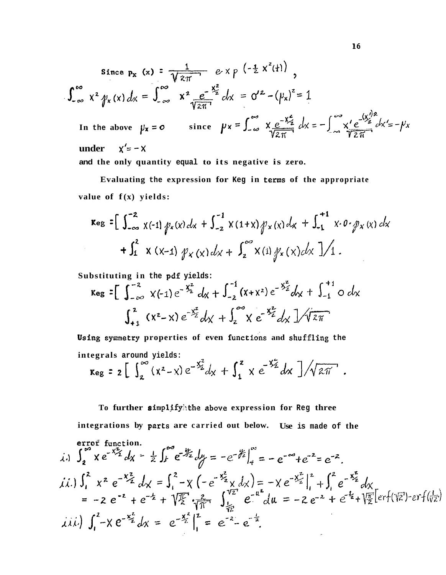Since 
$$
p_x(x) = \frac{1}{\sqrt{2\pi}} e^{-x} p \left(-\frac{1}{2} x^2(t)\right)
$$
,  
\n
$$
\int_{-\infty}^{\infty} x^2 \psi_x(x) dx = \int_{-\infty}^{\infty} x^2 \frac{e^{-\frac{x^2}{2}}}{\sqrt{2\pi}} dx = \sigma'^2 - (\mu_x)^2 = 1
$$
\nIn the above  $\mu_x = 0$  since  $\mu_x = \int_{-\infty}^{\infty} x \frac{e^{-\frac{x^2}{2}}}{\sqrt{2\pi}} dx = -\int_{-\infty}^{\infty} x' \frac{e^{-\frac{(x')^2}{2}}}{\sqrt{2\pi}} dx' = -\mu_x$   
\nunder  $x' = -x$ 

**and the only quantity equal to its negative is zero.** 

**Evaluating the expression for Keg in terns of the appropriate**  value of  $f(x)$  yields:

$$
\kappa_{eg} = \left[ \int_{-\infty}^{-2} \chi(-1) \, p_{x}(x) \, dx + \int_{-2}^{-1} \chi(1+x) \, p_{x}(x) \, dx + \int_{-1}^{+1} \chi \cdot 0 \cdot p_{x}(x) \, dx \right. \\ + \int_{1}^{2} \chi(x-1) \, p_{x}(x) \, dx + \int_{2}^{\infty} \chi(1) \, p_{x}(x) \, dx \, ]/1 \, .
$$

**Substituting in the pdf yields:** 

$$
\kappa_{eg} = \left[ \int_{-\infty}^{-2} x(-1) e^{-\frac{x^{2}}{2}} dx + \int_{-2}^{-1} (x + x^{2}) e^{-\frac{x^{2}}{2}} dx + \int_{-1}^{+1} 0 dx \right]
$$

$$
\int_{+1}^{2} (x^{2} - x) e^{-\frac{x^{2}}{2}} dx + \int_{2}^{\infty} x e^{-\frac{x^{2}}{2}} dx \right] / \sqrt{2\pi}
$$

Using symmetry properties of even functions and shuffling the integrals around yields:<br>  $\kappa_{eg}$  =  $2 \left[ \int_{2}^{\infty} (x^2 - x) e^{-\frac{x^2}{2}} dx + \int_{1}^{z} x e^{-\frac{x^2}{2}} dx \right] / \sqrt{2\pi}$ .

**To further s impli fyi:lhe above express ion for Reg three** 

integrations by parts are carried out below. Use is made of the

$$
\int_{2}^{1} x e^{-x^{2}z} dx = \frac{1}{2} \int_{1}^{\infty} e^{-x^{2}z} dy = -e^{-x^{2}}|_{4}^{\infty} = -e^{-\infty} + e^{-2} = e^{-2}.
$$
\n  
\n(i.)  $\int_{1}^{2} x^{2} e^{-x^{2}z} dx = \int_{1}^{2} -\chi \left(-e^{-x^{2}z} \times dx\right) = -\chi e^{-x^{2}}|_{1}^{2} + \int_{1}^{2} e^{-x^{2}z} dx$   
\n $= -2 e^{-2} + e^{-2} + \sqrt{2} \int_{1}^{\infty} \frac{2}{\sqrt{n}} \int_{\frac{1}{n^{2}}}^{\sqrt{2}} e^{-u^{2}} du = -2 e^{-2} + e^{-2} + \sqrt{2} \int_{2}^{\sqrt{2}} [er_{1}(\sqrt{2}) - er_{1}(\sqrt{2})]$   
\n(ii.)  $\int_{1}^{2} -\chi e^{-x^{2}} dx = e^{-x^{2}}|_{1}^{2} = e^{-2} - e^{-\frac{1}{2}}.$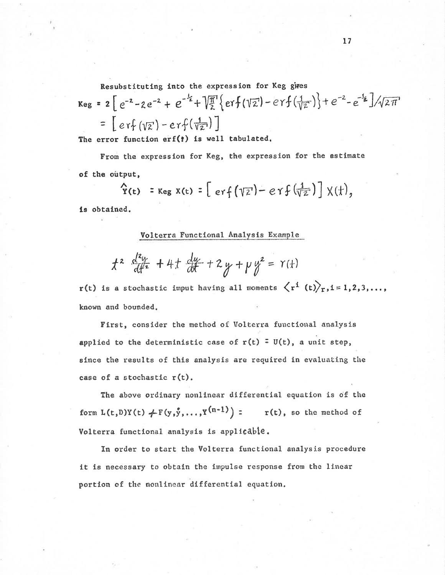Resubstituting into the expression for Keg gwes

$$
\kappa_{eg} = 2 \left[ e^{-2} - 2e^{-2} + e^{-\frac{1}{2}} + \sqrt{\frac{\pi}{2}} \{ erf(\sqrt{2}) - erf(\frac{1}{\sqrt{2}}) \} + e^{-2} - e^{-\frac{1}{2}} \right] / \sqrt{2\pi}
$$
  
=  $\left[ erf(\sqrt{2}) - erf(\frac{1}{\sqrt{2}}) \right]$ 

The error function  $erf(*)$  is well tabulated.

From the expression for Keg, the expression for the estimate of the output,

$$
\hat{\Upsilon}(t) = \text{Keg } X(t) = \left[ erf(\sqrt{z}) - erf(\sqrt{\overline{z}})\right] X(t),
$$

is obtained.

Volterra Functional Analysis Example

$$
t^2 \frac{d^2y}{dt^2} + 4t \frac{dy}{dt} + 2y + \mu y^2 = \Upsilon(t)
$$

r(t) is a stochastic imput having all moments  $\langle r^i(t) \rangle_r, i = 1, 2, 3, ...,$ known and bounded.

First, consider the method of Volterra functional analysis applied to the deterministic case of  $r(t) = U(t)$ , a unit step, since the results of this analysis are required in evaluating the case of a stochastic  $r(t)$ .

The above ordinary nonlinear differential equation is of the form  $L(t, D)Y(t)$   $\neq$   $F(y, \hat{y}, ..., Y^{(n-1)})$  :  $r(t)$ , so the method of Volterra functional analysis is applicable.

In order to start the Volterra functional analysis procedure it is necessary to obtain the impulse response from the linear portion of the nonlinear differential equation.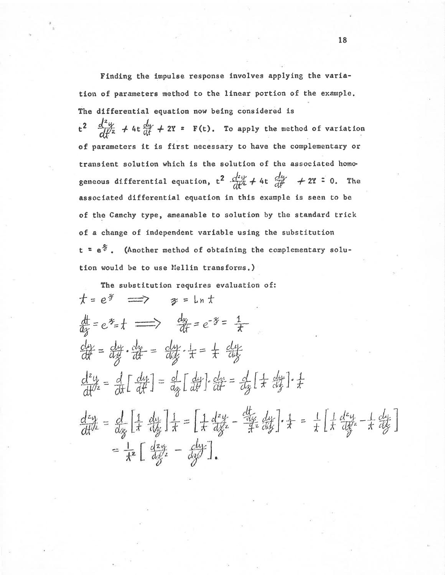Finding the impulse response involves applying the variation of parameters method to the linear portion of the example. The differential equation now being considered is  $t^2$   $\frac{d^2y}{dt^2}$  + 4t  $\frac{dy}{dt}$  + 2Y = F(t). To apply the method of variation of parameters it is first necessary to have the complementary or transient solution which is the solution of the associated homogeneous differential equation,  $t^2 \frac{d^2y}{dt^2} + 4t \frac{dy}{dt} + 2Y = 0$ . The associated differential equation in this example is seen to be of the Canchy type, ameanable to solution by the standard trick of a change of independent variable using the substitution  $t = e^{\frac{x}{\sigma}}$ . (Another method of obtaining the complementary solution would be to use Mellin transforms.)

The substitution requires evaluation of:  $t = e^{\frac{x}{2}} \implies x = \ln t$  $\frac{d}{dx} = e^{x} = t \implies \frac{dy}{dt} = e^{-x} = \frac{1}{t}$  $\frac{dy}{dt} = \frac{dy}{dx} \cdot \frac{dy}{dt} = \frac{dy}{dx} \cdot \frac{1}{t} = \frac{1}{t} \frac{dy}{dy}$  $\frac{d^2y}{dt^2} = \frac{d}{dt} \left[ \frac{dy}{dt} \right] = \frac{d}{dx} \left[ \frac{dy}{dt} \right] \cdot \frac{dx}{dt} = \frac{d}{dx} \left[ \frac{1}{t} \frac{dy}{dt} \right] \cdot \frac{1}{t}$  $\frac{d^2y}{dt^2} = \frac{d}{dx} \left[ \frac{1}{x} + \frac{dy}{dx} \right] \frac{1}{x} = \left[ \frac{1}{x} \frac{d^2y}{dx^2} - \frac{dy}{dx} \frac{dy}{dx} \right] \cdot \frac{1}{x} = \frac{1}{x} \left[ \frac{1}{x} \frac{d^2y}{dx^2} - \frac{1}{x} \frac{dy}{dx} \right]$  $=\frac{1}{x^2}\left[\frac{dx}{dx^2}-\frac{dy}{dx}\right]$ .

18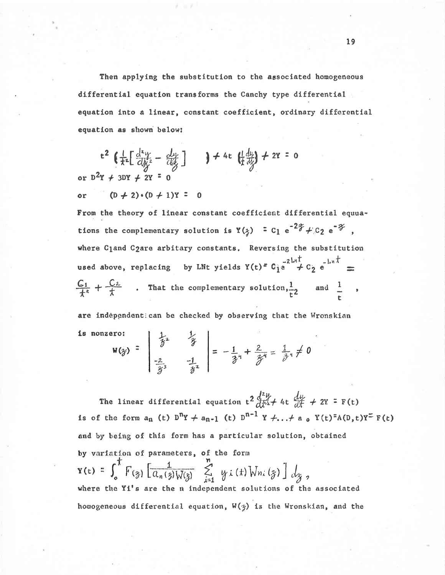Then applying the substitution to the associated homogeneous differential equation transforms the Canchy type differential equation into a linear, constant coefficient, ordinary differential equation as shown below:

$$
t^{2} \left( \frac{1}{x^{2}} \left[ \frac{d^{2}y}{dy^{2}} - \frac{dy}{dy} \right] \right) + 4t \left( \frac{dy}{dy} \right) + 2Y = 0
$$
  
or  $D^{2}Y + 3DY + 2Y = 0$ 

 $(D + 2) \cdot (D + 1)Y = 0$ or

From the theory of linear constant coefficient differential equuations the complementary solution is  $Y(\xi) = C_1 e^{-2\xi} + C_2 e^{-\xi}$ , where Cland C2are arbitary constants. Reversing the substitution used above, replacing by LNt yields  $Y(t) = C_1 e^{-2 \ln t} + C_2 e^{-\ln t}$  $\frac{C_1}{t^2}$  +  $\frac{C_2}{t}$  . That the complementary solution,  $\frac{1}{t^2}$  and  $\frac{1}{t}$ ,

are independentican be checked by observing that the Wronskian  $|$   $\downarrow$   $|$ is nonzero:

$$
W(\hat{y}) = \begin{vmatrix} \hat{y} & \hat{y} \\ \frac{-2}{\hat{y}^3} & -\frac{1}{\hat{y}^2} \end{vmatrix} = -\frac{1}{\hat{y}^4} + \frac{2}{\hat{y}^4} = \frac{1}{\hat{y}^4} \neq 0
$$

The linear differential equation  $t^2 \frac{d^2y}{dx^2} + 4t \frac{dy}{dt} + 2Y = F(t)$ is of the form  $a_n$  (t)  $D^{n}Y + a_{n-1}$  (t)  $D^{n-1}Y + ... + a_0 Y(t)^{n}A(D,t)Y^{n}F(t)$ and by being of this form has a particular solution, obtained by variation of parameters, of the form  $\mathbf{Y}(t) = \int_{0}^{t} F_{(\gamma)} \left[ \frac{1}{a_n(\gamma) \sqrt{(\gamma)}} \sum_{i=1}^{n} y_i(t) \sqrt{y_n(\gamma)} \right] dy,$ where the Yi's are the n independent solutions of the associated homogeneous differential equation,  $W(\gamma)$  is the Wronskian, and the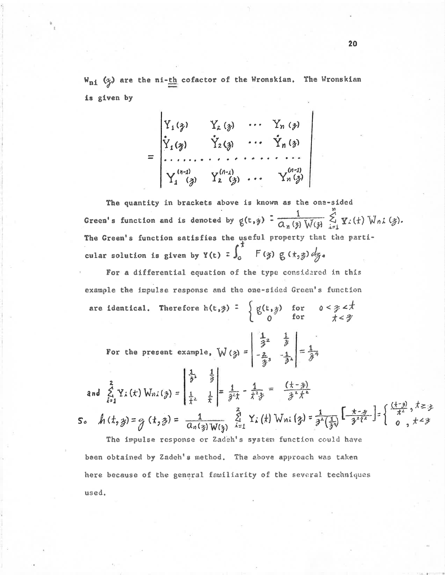$W_{ni}$  ( $\chi$ ) are the ni-th cofactor of the Wronskian. The Wronskian is given by

$$
= \begin{vmatrix} Y_1(\gamma) & Y_2(\gamma) & \cdots & Y_n(\gamma) \\ Y_1(\gamma) & Y_2(\gamma) & \cdots & Y_n(\gamma) \\ \vdots & \vdots & \ddots & \vdots \\ Y_1^{(n-1)} & Y_2^{(n-1)} & \cdots & Y_n^{(n-1)} \\ Y_1^{(n-1)} & Y_2^{(n-1)} & \cdots & Y_n^{(n-1)} \end{vmatrix}
$$

The quantity in brackets above is known as the one-sided Green's function and is denoted by  $g(t,y) = \frac{1}{\alpha_n(y) W(y)} \sum_{i=1}^n Y_i(t) W_{ni}(y)$ . The Green's function satisfies the useful property that the particular solution is given by  $Y(t) = \int_0^t F(y) g(t, y) dy$ 

For a differential equation of the type considered in this example the impulse response and the one-sided Green's function are identical. Therefore  $h(t, \hat{z}) = \begin{cases} g(t, \hat{z}) & \text{for} \quad 0 \leq \hat{z} \leq \hat{z} \\ 0 & \text{for} \quad \hat{z} \leq \hat{z} \end{cases}$ 

For the present example, 
$$
W(\gamma) = \begin{vmatrix} \frac{1}{3} & \frac{1}{3} \\ -\frac{2}{3} & -\frac{1}{3} \end{vmatrix} = \frac{1}{3}\pi
$$
  
\nand  $\sum_{i=1}^{2} Y_i(t) W_{ni}(\gamma) = \begin{vmatrix} \frac{1}{3} & \frac{1}{3} \\ \frac{1}{3} & \frac{1}{3} \end{vmatrix} = \frac{1}{3^2\pi} - \frac{1}{3^2\pi} = \frac{(\frac{1}{3} - \frac{1}{3})}{\frac{1}{3} - \frac{1}{3} + \frac{1}{3}}$   
\nSo,  $h(t, \gamma) = g(t, \gamma) = \frac{1}{\alpha_n(\gamma) W(\gamma)} \sum_{i=1}^{2} Y_i(t) W_{ni}(\gamma) = \frac{1}{3^2(\frac{1}{3})} \left[ \frac{\frac{1}{3} - \frac{1}{3}}{\frac{1}{3} + \frac{1}{3}} \right] = \begin{cases} \frac{(\frac{1}{3} - \frac{3}{3})}{\frac{1}{3} + \frac{1}{3}} & \frac{1}{3} \\ 0 & \frac{1}{3} + \frac{1}{3} \end{cases}$ 

 $\mathbf{E}^{\text{R}}$ 

 $1 \parallel$ 

The impulse response or Zadeh's system function could have been obtained by Zadch's method. The above approach was taken here because of the general familiarity of the several techniques used.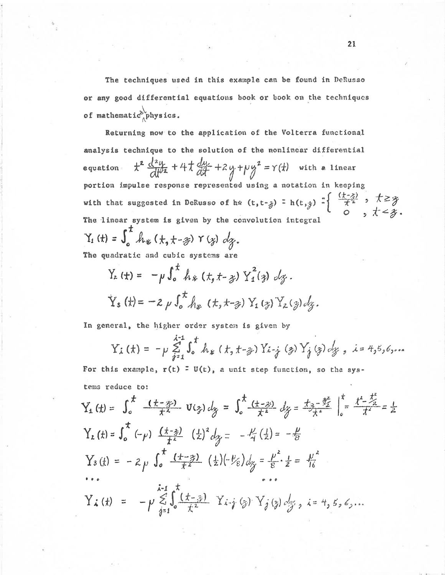The techniques used in this example can be found in DeRusso or any good differential equations book or book on the techniques of mathematic physics.

Returning now to the application of the Volterra functional analysis technique to the solution of the nonlinear differential  $t^2 \frac{d^2y}{dt^2} + 4t \frac{dy}{dt} + 2y + py^2 = r(t)$  with a linear equation portion impulse response represented using a notation in keeping with that suggested in DeRusso of h\*  $(t, t - 3) = h(t, 3) = \begin{cases} \frac{(t-3)}{2} & t \geq 3\\ 0 & t \leq 3 \end{cases}$ . The linear system is given by the convolution integral  $Y_1$  (t) =  $\int_0^t h_* (t, t - s) Y(s) ds.$ 

The quadratic and cubic systems are

$$
Y_{2}(t) = -\mu \int_{0}^{t} h_{*}(t, t - \zeta) Y_{1}^{2}(\zeta) d\zeta.
$$
  

$$
Y_{3}(t) = -2\mu \int_{0}^{t} h_{*}(t, t - \zeta) Y_{1}(\zeta) Y_{2}(\zeta) d\zeta.
$$

In general, the higher order system is given by

$$
Y_{i}(t) = -p \sum_{j=1}^{x-1} \int_{0}^{t} h_{*}(t, t - \frac{1}{2}) Y_{i-j}(3) Y_{j}(3) dy, i = 4, 5, 6, ...
$$

For this example,  $r(t) = U(t)$ , a unit step function, so the systems reduce to:

$$
Y_{1}(t) = \int_{0}^{t} \frac{(t-\overline{y})}{t^{2}} \, V(\overline{y}) \, dy = \int_{0}^{t} \frac{(t-\overline{y})}{t^{2}} \, dy = \frac{t_{1} - \overline{y}}{t} \Big|_{0}^{t} = \frac{t^{2} - \overline{y}}{t^{2}} = \frac{1}{2}
$$
\n
$$
Y_{2}(t) = \int_{0}^{t} (-\rho) \, \frac{(t-\overline{y})}{t^{2}} \, (t^{2})^{2} \, dy = -\frac{t^{2}}{4} \left(\frac{1}{2}\right) = -\frac{t^{2}}{8}
$$
\n
$$
Y_{3}(t) = -2 \rho \int_{0}^{t} \frac{(t-\overline{y})}{t^{2}} \, (t^{2}) \left(-\frac{\rho}{8}\right) \, dy = \frac{\rho^{2}}{8} \cdot \frac{1}{2} = \frac{\mu^{2}}{16}
$$
\n
$$
Y_{4}(t) = -\rho \sum_{j=1}^{k-1} \int_{0}^{t} \frac{(t-\overline{y})}{t^{2}} \, Y_{4-j}(\overline{y}) \, Y_{j}(\overline{y}) \, dy_{3} \, i = 4, 5, 6, ...
$$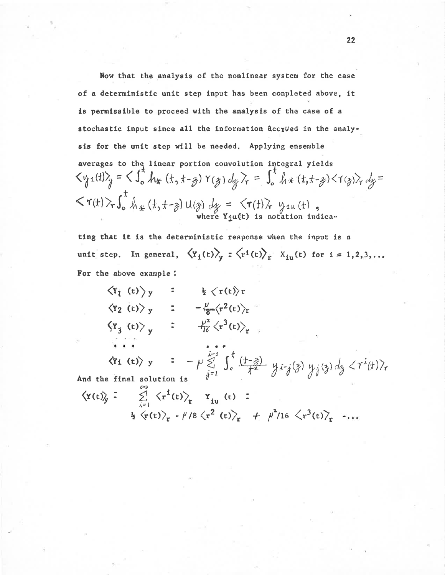Now that the analysis of the nonlinear system for the case of a deterministic unit step input has been conpleted above, it is permissible to proceed with the analysis of the case of a stochastic input since all the information accyved in the analysis for the unit step will be needed. Applying ensemble averages to the linear portion convolution integral yields  $\langle y_1(t)\rangle_g = \langle \int_0^t h_{*}(t,t-g)Y(g)dy\rangle_f = \int_0^t h*(t,t-g)\langle Y(g)\rangle_f dy =$  $\langle \tau(t) \rangle_{\tau} \int_{0}^{t} \int_{\mathcal{H}} (t, t - \tilde{z}) \mathsf{U}(\tilde{z}) \, dy = \langle \tau(t) \rangle_{\tau}$  y<sub>1u</sub> (t),

ting that it is the deterministic response when the input is a unit step. In general,  $\langle Y_i(t) \rangle_y$  :  $\langle r^i(t) \rangle_r$   $X_{iu}(t)$  for  $i = 1, 2, 3, ...$ For the above example:

| $\langle x_i(t) \rangle$ y                                                      | $\blacksquare$ | $\frac{1}{2} \langle r(t) \rangle r$                                   |  |
|---------------------------------------------------------------------------------|----------------|------------------------------------------------------------------------|--|
| $\langle Y_2(t)\rangle_y$                                                       | $\rightarrow$  | $-\frac{p}{8}$ $\langle r^2(t) \rangle_r$                              |  |
| $\left\langle \Psi_{3} \right\rangle$ (t) $\left\langle \Psi_{3} \right\rangle$ | $\frac{1}{2}$  | $-\frac{\mu^2}{\sqrt{6}}\left\langle \frac{x^3(t)}{2} \right\rangle_r$ |  |
| The Control of the                                                              |                | .                                                                      |  |

 $\langle \mathbf{r_i} (\mathbf{t}) \rangle$   $\mathbf{y} = -\mu \sum_{j=1}^{i-1} \int_{c}^{t} \frac{(t-j)}{t^2} y_{i-j}(y) y_{j}(3) dy < \gamma^{i}(t) \rangle_{r}$ <br>And the final solution is

$$
\langle Y(t)\rangle_{f} = \sum_{i=1}^{5} \langle r^{i}(t)\rangle_{r} Y_{iu}(t) =
$$
  

$$
\frac{1}{2} \langle r(t)\rangle_{r} - \frac{\mu}{8} \langle r^{2}(t)\rangle_{r} + \frac{\mu^{2}}{16} \langle r^{3}(t)\rangle_{r} + ...
$$